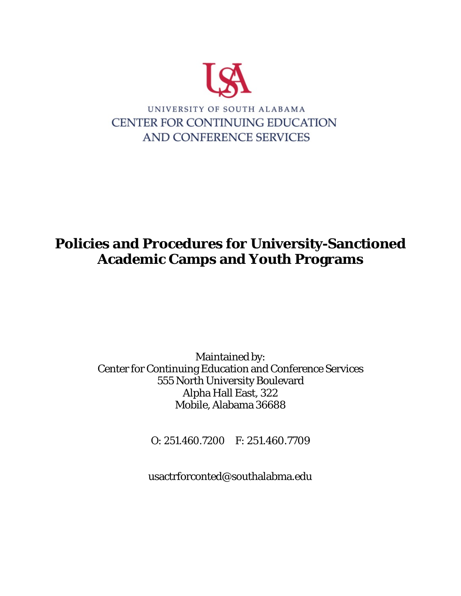

# **Policies and Procedures for University-Sanctioned Academic Camps and Youth Programs**

Maintained by: Center for Continuing Education and Conference Services 555 North University Boulevard Alpha Hall East, 322 Mobile, Alabama 36688

O: 251.460.7200 F: 251.460.7709

usactrforconted@southalabma.edu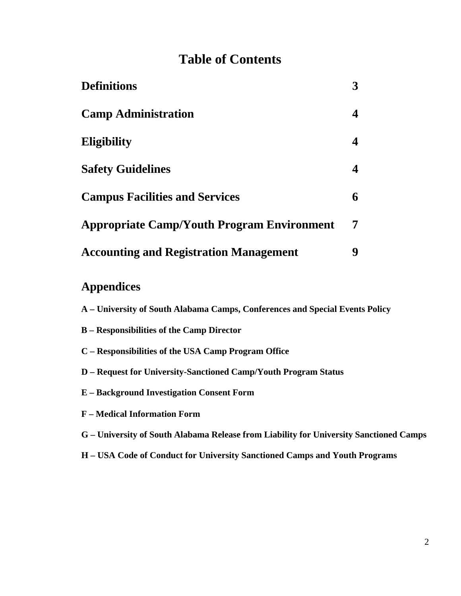# **Table of Contents**

| <b>Definitions</b>                                |  |
|---------------------------------------------------|--|
| <b>Camp Administration</b>                        |  |
| <b>Eligibility</b>                                |  |
| <b>Safety Guidelines</b>                          |  |
| <b>Campus Facilities and Services</b>             |  |
| <b>Appropriate Camp/Youth Program Environment</b> |  |
| <b>Accounting and Registration Management</b>     |  |

# **Appendices**

| A – University of South Alabama Camps, Conferences and Special Events Policy |  |
|------------------------------------------------------------------------------|--|
|------------------------------------------------------------------------------|--|

- **B – Responsibilities of the Camp Director**
- **C – Responsibilities of the USA Camp Program Office**
- **D – Request for University-Sanctioned Camp/Youth Program Status**
- **E – Background Investigation Consent Form**
- **F – Medical Information Form**
- **G – University of South Alabama Release from Liability for University Sanctioned Camps**
- **H – USA Code of Conduct for University Sanctioned Camps and Youth Programs**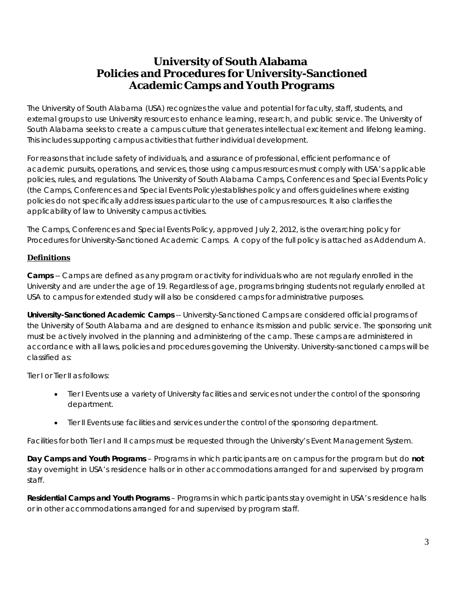# **University of South Alabama Policies and Procedures for University-Sanctioned Academic Camps and Youth Programs**

The University of South Alabama (USA) recognizes the value and potential for faculty, staff, students, and external groups to use University resources to enhance learning, research, and public service. The University of South Alabama seeks to create a campus culture that generates intellectual excitement and lifelong learning. This includes supporting campus activities that further individual development.

For reasons that include safety of individuals, and assurance of professional, efficient performance of academic pursuits, operations, and services, those using campus resources must comply with USA's applicable policies, rules, and regulations. The University of South Alabama Camps, Conferences and Special Events Policy (the Camps, Conferences and Special Events Policy)establishes policy and offers guidelines where existing policies do not specifically address issues particular to the use of campus resources. It also clarifies the applicability of law to University campus activities.

The Camps, Conferences and Special Events Policy, approved July 2, 2012, is the overarching policy for Procedures for University-Sanctioned Academic Camps. A copy of the full policy is attached as Addendum A.

### **Definitions**

**Camps** -- Camps are defined as any program or activity for individuals who are not regularly enrolled in the University and are under the age of 19. Regardless of age, programs bringing students not regularly enrolled at USA to campus for extended study will also be considered camps for administrative purposes.

**University-Sanctioned Academic Camps** -- University-Sanctioned Camps are considered official programs of the University of South Alabama and are designed to enhance its mission and public service. The sponsoring unit must be actively involved in the planning and administering of the camp. These camps are administered in accordance with all laws, policies and procedures governing the University. University-sanctioned camps will be classified as:

Tier I or Tier II as follows:

- Tier I Events use a variety of University facilities and services not under the control of the sponsoring department.
- Tier II Events use facilities and services under the control of the sponsoring department.

Facilities for both Tier I and II camps must be requested through the University's Event Management System.

**Day Camps and Youth Programs** – Programs in which participants are on campus for the program but do **not** stay overnight in USA's residence halls or in other accommodations arranged for and supervised by program staff.

**Residential Camps and Youth Programs** – Programs in which participants stay overnight in USA's residence halls or in other accommodations arranged for and supervised by program staff.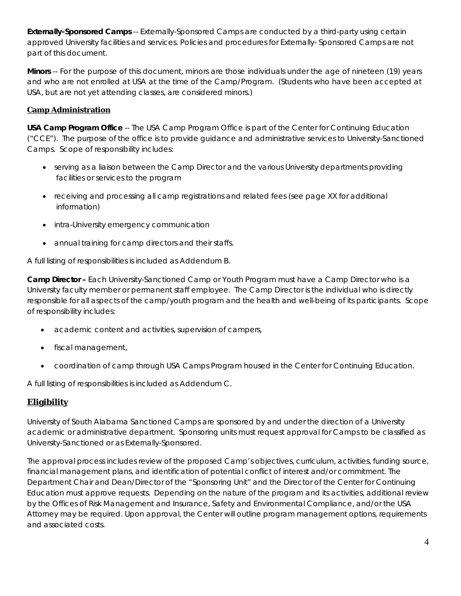**Externally-Sponsored Camps** -- Externally-Sponsored Camps are conducted by a third-party using certain approved University facilities and services. Policies and procedures for Externally- Sponsored Camps are not part of this document.

**Minors** -- For the purpose of this document, minors are those individuals under the age of nineteen (19) years and who are not enrolled at USA at the time of the Camp/Program. (Students who have been accepted at USA, but are not yet attending classes, are considered minors.)

# **Camp Administration**

**USA Camp Program Office** -- The USA Camp Program Office is part of the Center for Continuing Education ("CCE"). The purpose of the office is to provide guidance and administrative services to University-Sanctioned Camps. Scope of responsibility includes:

- serving as a liaison between the Camp Director and the various University departments providing facilities or services to the program
- receiving and processing all camp registrations and related fees (see page XX for additional information)
- intra-University emergency communication
- annual training for camp directors and their staffs.

A full listing of responsibilities is included as Addendum B.

**Camp Director –** Each University-Sanctioned Camp or Youth Program must have a Camp Director who is a University faculty member or permanent staff employee. The Camp Director is the individual who is directly responsible for all aspects of the camp/youth program and the health and well-being of its participants. Scope of responsibility includes:

- academic content and activities, supervision of campers,
- fiscal management,
- coordination of camp through USA Camps Program housed in the Center for Continuing Education.

A full listing of responsibilities is included as Addendum C.

# **Eligibility**

University of South Alabama Sanctioned Camps are sponsored by and under the direction of a University academic or administrative department. Sponsoring units must request approval for Camps to be classified as University-Sanctioned or as Externally-Sponsored.

The approval process includes review of the proposed Camp's objectives, curriculum, activities, funding source, financial management plans, and identification of potential conflict of interest and/or commitment. The Department Chair and Dean/Director of the "Sponsoring Unit" and the Director of the Center for Continuing Education must approve requests. Depending on the nature of the program and its activities, additional review by the Offices of Risk Management and Insurance, Safety and Environmental Compliance, and/or the USA Attorney may be required. Upon approval, the Center will outline program management options, requirements and associated costs.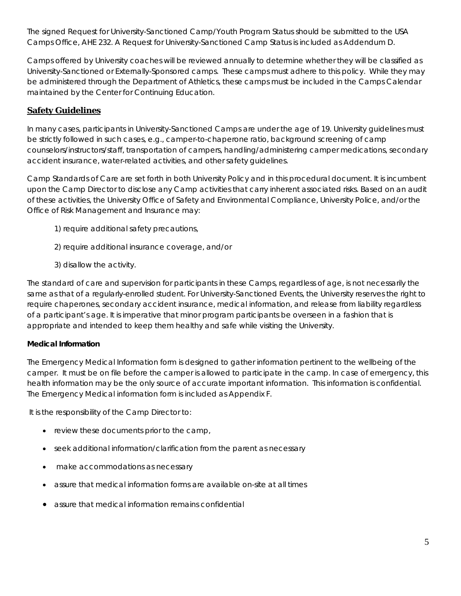The *signed Request for University-Sanctioned Camp/Youth Program Status* should be submitted to the USA Camps Office, AHE 232. A Request for University-Sanctioned Camp Status is included as Addendum D.

*Camps offered by University coaches will be reviewed annually to determine whether they will be classified as University-Sanctioned or Externally-Sponsored camps. These camps must adhere to this policy. While they may be administered through the Department of Athletics, these camps must be included in the Camps Calendar maintained by the Center for Continuing Education.*

# **Safety Guidelines**

In many cases, participants in University-Sanctioned Camps are under the age of 19. University guidelines must be strictly followed in such cases, e.g., camper-to-chaperone ratio, background screening of camp counselors/instructors/staff, transportation of campers, handling/administering camper medications, secondary accident insurance, water-related activities, and other safety guidelines.

Camp Standards of Care are set forth in both University Policy and in this procedural document. It is incumbent upon the Camp Director to disclose any Camp activities that carry inherent associated risks. Based on an audit of these activities, the University Office of Safety and Environmental Compliance, University Police, and/or the Office of Risk Management and Insurance may:

- 1) require additional safety precautions,
- 2) require additional insurance coverage, and/or
- 3) disallow the activity.

The standard of care and supervision for participants in these Camps, regardless of age, is not necessarily the same as that of a regularly-enrolled student. For University-Sanctioned Events, the University reserves the right to require chaperones, secondary accident insurance, medical information, and release from liability regardless of a participant's age. It is imperative that minor program participants be overseen in a fashion that is appropriate and intended to keep them healthy and safe while visiting the University.

### **Medical Information**

The Emergency Medical Information form is designed to gather information pertinent to the wellbeing of the camper. It must be on file before the camper is allowed to participate in the camp. In case of emergency, this health information may be the only source of accurate important information. This information is confidential. The Emergency Medical information form is included as Appendix F.

It is the responsibility of the Camp Director to:

- review these documents prior to the camp,
- seek additional information/clarification from the parent as necessary
- make accommodations as necessary
- assure that medical information forms are available on-site at all times
- assure that medical information remains confidential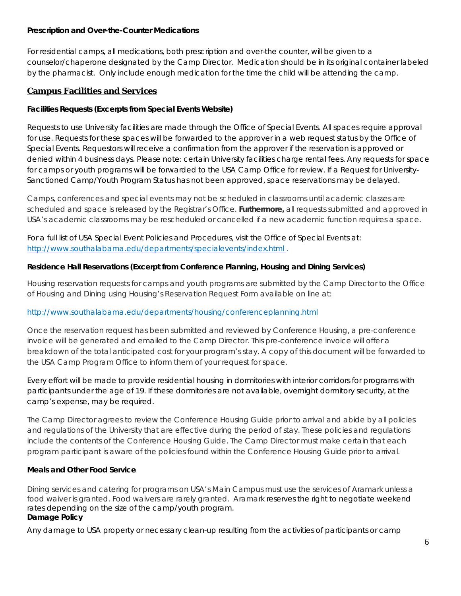### **Prescription and Over-the-Counter Medications**

For residential camps, all medications, both prescription and over-the counter, will be given to a counselor/chaperone designated by the Camp Director. Medication should be in its original container labeled by the pharmacist. Only include enough medication for the time the child will be attending the camp.

# **Campus Facilities and Services**

### **Facilities Requests (Excerpts from Special Events Website)**

Requests to use University facilities are made through the Office of Special Events. All spaces require approval for use. Requests for these spaces will be forwarded to the approver in a web request status by the Office of Special Events. Requestors will receive a confirmation from the approver if the reservation is approved or denied within 4 business days. Please note: certain University facilities charge rental fees. Any requests for space for camps or youth programs will be forwarded to the USA Camp Office for review. If a *Request for University-Sanctioned Camp/Youth Program Status* has not been approved, space reservations may be delayed.

Camps, conferences and special events may not be scheduled in classrooms until academic classes are scheduled and space is released by the Registrar's Office. **Furthermore,** all requests submitted and approved in USA's academic classrooms may be rescheduled or cancelled if a new academic function requires a space.

For a full list of USA Special Event Policies and Procedures, visit the Office of Special Events at: <http://www.southalabama.edu/departments/specialevents/index.html> .

### **Residence Hall Reservations (Excerpt from Conference Planning, Housing and Dining Services)**

Housing reservation requests for camps and youth programs are submitted by the Camp Director to the Office of Housing and Dining using Housing's Reservation Request Form available on line at:

# <http://www.southalabama.edu/departments/housing/conferenceplanning.html>

Once the reservation request has been submitted and reviewed by Conference Housing, a pre-conference invoice will be generated and emailed to the Camp Director. This pre-conference invoice will offer a breakdown of the total anticipated cost for your program's stay. A copy of this document will be forwarded to the USA Camp Program Office to inform them of your request for space.

Every effort will be made to provide residential housing in dormitories with interior corridors for programs with participants under the age of 19. If these dormitories are not available, overnight dormitory security, at the camp's expense, may be required.

The Camp Director agrees to review the Conference Housing Guide prior to arrival and abide by all policies and regulations of the University that are effective during the period of stay. These policies and regulations include the contents of the *Conference Housing Guide*. The Camp Director must make certain that each program participant is aware of the policies found within the Conference Housing Guide prior to arrival.

# **Meals and Other Food Service**

Dining services and catering for programs on USA's Main Campus must use the services of Aramark unless a food waiver is granted. Food waivers are rarely granted. Aramark reserves the right to negotiate weekend rates depending on the size of the camp/youth program. **Damage Policy**

Any damage to USA property or necessary clean-up resulting from the activities of participants or camp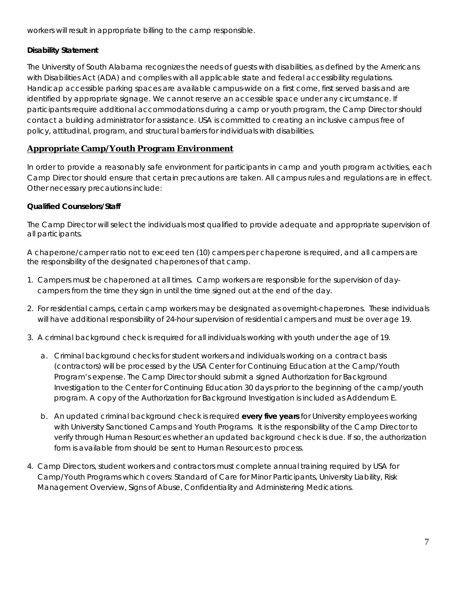workers will result in appropriate billing to the camp responsible.

### **Disability Statement**

The University of South Alabama recognizes the needs of guests with disabilities, as defined by the Americans with Disabilities Act (ADA) and complies with all applicable state and federal accessibility regulations. Handicap accessible parking spaces are available campus-wide on a first come, first served basis and are identified by appropriate signage. We cannot reserve an accessible space under any circumstance. If participants require additional accommodations during a camp or youth program, the Camp Director should contact a building administrator for assistance. USA is committed to creating an inclusive campus free of policy, attitudinal, program, and structural barriers for individuals with disabilities.

# **Appropriate Camp/Youth Program Environment**

In order to provide a reasonably safe environment for participants in camp and youth program activities, each Camp Director should ensure that certain precautions are taken. All campus rules and regulations are in effect. Other necessary precautions include:

### **Qualified Counselors/Staff**

The Camp Director will select the individuals most qualified to provide adequate and appropriate supervision of all participants.

A chaperone/camper ratio not to exceed ten (10) campers per chaperone is required, and all campers are the responsibility of the designated chaperones of that camp.

- 1. Campers must be chaperoned at all times. Camp workers are responsible for the supervision of daycampers from the time they sign in until the time signed out at the end of the day.
- 2. For residential camps, certain camp workers may be designated as overnight-chaperones. These individuals will have additional responsibility of 24-hour supervision of residential campers and must be over age 19.
- 3. A criminal background check is required for all individuals working with youth under the age of 19.
	- a. Criminal background checks for student workers and individuals working on a contract basis (contractors) will be processed by the USA Center for Continuing Education at the Camp/Youth Program's expense. The Camp Director should submit a signed *Authorization for Background Investigation* to the Center for Continuing Education 30 days prior to the beginning of the camp/youth program. A copy of the Authorization for Background Investigation is included as Addendum E.
	- b. An updated criminal background check is required **every five years** for University employees working with University Sanctioned Camps and Youth Programs. It is the responsibility of the Camp Director to verify through Human Resources whether an updated background check is due. If so, the authorization form is available from should be sent to Human Resources to process.
- 4. Camp Directors, student workers and contractors must complete annual training required by USA for Camp/Youth Programs which covers: Standard of Care for Minor Participants, University Liability, Risk Management Overview, Signs of Abuse, Confidentiality and Administering Medications.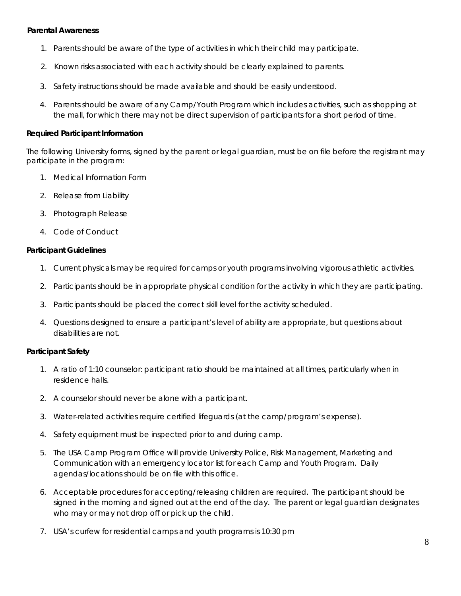### **Parental Awareness**

- 1. Parents should be aware of the type of activities in which their child may participate.
- 2. Known risks associated with each activity should be clearly explained to parents.
- 3. Safety instructions should be made available and should be easily understood.
- 4. Parents should be aware of any Camp/Youth Program which includes activities, such as shopping at the mall, for which there may not be direct supervision of participants for a short period of time.

### **Required Participant Information**

The following University forms, signed by the parent or legal guardian, must be on file before the registrant may participate in the program:

- 1. Medical Information Form
- 2. Release from Liability
- 3. Photograph Release
- 4. Code of Conduct

### **Participant Guidelines**

- 1. Current physicals may be required for camps or youth programs involving vigorous athletic activities.
- 2. Participants should be in appropriate physical condition for the activity in which they are participating.
- 3. Participants should be placed the correct skill level for the activity scheduled.
- 4. Questions designed to ensure a participant's level of ability are appropriate, but questions about disabilities are not.

### **Participant Safety**

- 1. A ratio of 1:10 counselor: participant ratio should be maintained at all times, particularly when in residence halls.
- 2. A counselor should never be alone with a participant.
- 3. Water-related activities require certified lifeguards (at the camp/program's expense).
- 4. Safety equipment must be inspected prior to and during camp.
- 5. The USA Camp Program Office will provide University Police, Risk Management, Marketing and Communication with an emergency locator list for each Camp and Youth Program. Daily agendas/locations should be on file with this office.
- 6. Acceptable procedures for accepting/releasing children are required. The participant should be signed in the morning and signed out at the end of the day. The parent or legal guardian designates who may or may not drop off or pick up the child.
- 7. USA's curfew for residential camps and youth programs is 10:30 pm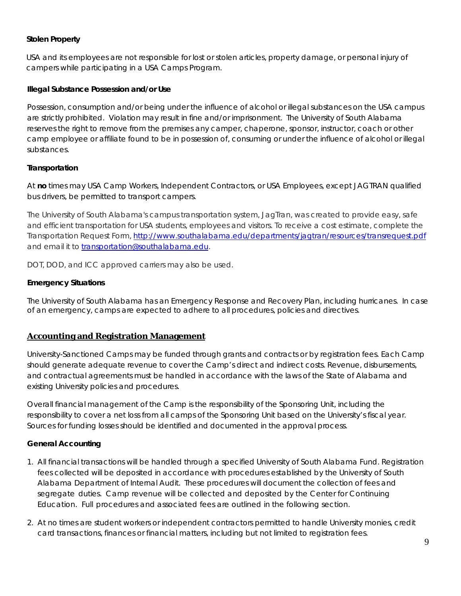### **Stolen Property**

USA and its employees are not responsible for lost or stolen articles, property damage, or personal injury of campers while participating in a USA Camps Program.

### **Illegal Substance Possession and/or Use**

Possession, consumption and/or being under the influence of alcohol or illegal substances on the USA campus are strictly prohibited. Violation may result in fine and/or imprisonment. The University of South Alabama reserves the right to remove from the premises any camper, chaperone, sponsor, instructor, coach or other camp employee or affiliate found to be in possession of, consuming or under the influence of alcohol or illegal substances.

### **Transportation**

At **no** times may USA Camp Workers, Independent Contractors, or USA Employees, except JAGTRAN qualified bus drivers, be permitted to transport campers.

The University of South Alabama's campus transportation system, JagTran, was created to provide easy, safe and efficient transportation for USA students, employees and visitors. To receive a cost estimate, complete the Transportation Request Form, <http://www.southalabama.edu/departments/jagtran/resources/transrequest.pdf> and email it to [transportation@southalabama.edu.](mailto:transportation@southalabama.edu)

DOT, DOD, and ICC approved carriers may also be used.

### **Emergency Situations**

The University of South Alabama has an Emergency Response and Recovery Plan, including hurricanes. In case of an emergency, camps are expected to adhere to all procedures, policies and directives.

### **Accounting and Registration Management**

University-Sanctioned Camps may be funded through grants and contracts or by registration fees. Each Camp should generate adequate revenue to cover the Camp's direct and indirect costs. Revenue, disbursements, and contractual agreements must be handled in accordance with the laws of the State of Alabama and existing University policies and procedures.

Overall financial management of the Camp is the responsibility of the Sponsoring Unit, including the responsibility to cover a net loss from all camps of the Sponsoring Unit based on the University's fiscal year. Sources for funding losses should be identified and documented in the approval process.

### **General Accounting**

- 1. All financial transactions will be handled through a specified University of South Alabama Fund. Registration fees collected will be deposited in accordance with procedures established by the University of South Alabama Department of Internal Audit. These procedures will document the collection of fees and segregate duties. Camp revenue will be collected and deposited by the Center for Continuing Education. Full procedures and associated fees are outlined in the following section.
- 2. At no times are student workers or independent contractors permitted to handle University monies, credit card transactions, finances or financial matters, including but not limited to registration fees.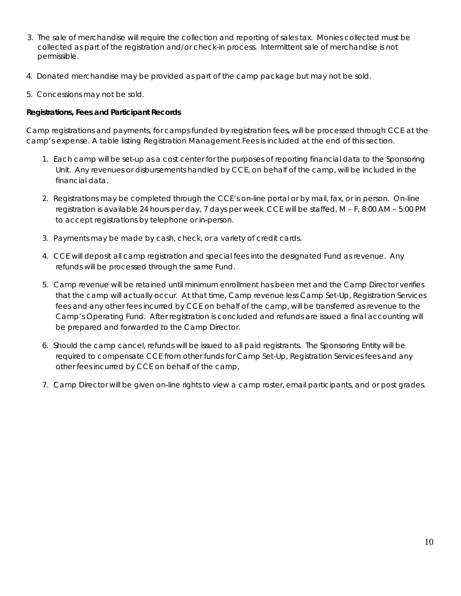- 3. The sale of merchandise will require the collection and reporting of sales tax. Monies collected must be collected as part of the registration and/or check-in process. Intermittent sale of merchandise is not permissible.
- 4. Donated merchandise may be provided as part of the camp package but may not be sold.
- 5. Concessions may not be sold.

### **Registrations, Fees and Participant Records**

Camp registrations and payments, for camps funded by registration fees, will be processed through CCE at the camp's expense. A table listing Registration Management Fees is included at the end of this section.

- 1. Each camp will be set-up as a cost center for the purposes of reporting financial data to the Sponsoring Unit. Any revenues or disbursements handled by CCE, on behalf of the camp, will be included in the financial data.
- 2. Registrations may be completed through the CCE's on-line portal or by mail, fax, or in person. On-line registration is available 24 hours per day, 7 days per week. CCE will be staffed, M – F, 8:00 AM – 5:00 PM to accept registrations by telephone or in-person.
- 3. Payments may be made by cash, check, or a variety of credit cards.
- 4. CCE will deposit all camp registration and special fees into the designated Fund as revenue. Any refunds will be processed through the same Fund.
- 5. Camp revenue will be retained until minimum enrollment has been met and the Camp Director verifies that the camp will actually occur. At that time, Camp revenue less Camp Set-Up, Registration Services fees and any other fees incurred by CCE on behalf of the camp, will be transferred as revenue to the Camp's Operating Fund. After registration is concluded and refunds are issued a final accounting will be prepared and forwarded to the Camp Director.
- 6. Should the camp cancel, refunds will be issued to all paid registrants. The Sponsoring Entity will be required to compensate CCE from other funds for Camp Set-Up, Registration Services fees and any other fees incurred by CCE on behalf of the camp,
- 7. Camp Director will be given on-line rights to view a camp roster, email participants, and or post grades.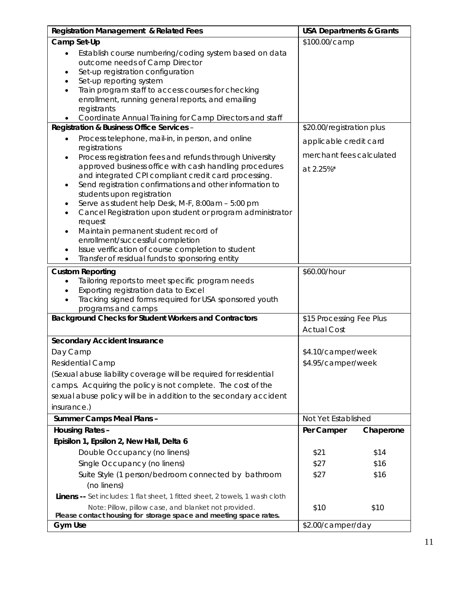| <b>Registration Management &amp; Related Fees</b>                                                                                                                                                                                                                                                                                                                                                                                                                                                                                                                                                                                                                                                                          | <b>USA Departments &amp; Grants</b>                             |                      |
|----------------------------------------------------------------------------------------------------------------------------------------------------------------------------------------------------------------------------------------------------------------------------------------------------------------------------------------------------------------------------------------------------------------------------------------------------------------------------------------------------------------------------------------------------------------------------------------------------------------------------------------------------------------------------------------------------------------------------|-----------------------------------------------------------------|----------------------|
| Camp Set-Up                                                                                                                                                                                                                                                                                                                                                                                                                                                                                                                                                                                                                                                                                                                | \$100.00/camp                                                   |                      |
| Establish course numbering/coding system based on data<br>$\bullet$<br>outcome needs of Camp Director<br>Set-up registration configuration<br>٠<br>Set-up reporting system<br>Train program staff to access courses for checking<br>$\bullet$<br>enrollment, running general reports, and emailing<br>registrants<br>Coordinate Annual Training for Camp Directors and staff                                                                                                                                                                                                                                                                                                                                               |                                                                 |                      |
| Registration & Business Office Services -                                                                                                                                                                                                                                                                                                                                                                                                                                                                                                                                                                                                                                                                                  | \$20.00/registration plus                                       |                      |
| Process telephone, mail-in, in person, and online<br>$\bullet$<br>registrations<br>Process registration fees and refunds through University<br>$\bullet$<br>approved business office with cash handling procedures<br>and integrated CPI compliant credit card processing.<br>Send registration confirmations and other information to<br>$\bullet$<br>students upon registration<br>Serve as student help Desk, M-F, 8:00am - 5:00 pm<br>٠<br>Cancel Registration upon student or program administrator<br>$\bullet$<br>request<br>Maintain permanent student record of<br>٠<br>enrollment/successful completion<br>Issue verification of course completion to student<br>Transfer of residual funds to sponsoring entity | applicable credit card<br>merchant fees calculated<br>at 2.25%* |                      |
| <b>Custom Reporting</b>                                                                                                                                                                                                                                                                                                                                                                                                                                                                                                                                                                                                                                                                                                    | \$60.00/hour                                                    |                      |
| Tailoring reports to meet specific program needs<br>Exporting registration data to Excel<br>Tracking signed forms required for USA sponsored youth<br>programs and camps                                                                                                                                                                                                                                                                                                                                                                                                                                                                                                                                                   |                                                                 |                      |
| <b>Background Checks for Student Workers and Contractors</b>                                                                                                                                                                                                                                                                                                                                                                                                                                                                                                                                                                                                                                                               | \$15 Processing Fee Plus<br><b>Actual Cost</b>                  |                      |
| <b>Secondary Accident Insurance</b>                                                                                                                                                                                                                                                                                                                                                                                                                                                                                                                                                                                                                                                                                        |                                                                 |                      |
| Day Camp<br>Residential Camp<br>(Sexual abuse liability coverage will be required for residential<br>camps. Acquiring the policy is not complete. The cost of the<br>sexual abuse policy will be in addition to the secondary accident<br>insurance.)                                                                                                                                                                                                                                                                                                                                                                                                                                                                      | \$4.10/camper/week<br>\$4.95/camper/week                        |                      |
| <b>Summer Camps Meal Plans -</b>                                                                                                                                                                                                                                                                                                                                                                                                                                                                                                                                                                                                                                                                                           | Not Yet Established                                             |                      |
| <b>Housing Rates -</b>                                                                                                                                                                                                                                                                                                                                                                                                                                                                                                                                                                                                                                                                                                     | Per Camper                                                      | Chaperone            |
| Episilon 1, Epsilon 2, New Hall, Delta 6<br>Double Occupancy (no linens)<br>Single Occupancy (no linens)<br>Suite Style (1 person/bedroom connected by bathroom<br>(no linens)                                                                                                                                                                                                                                                                                                                                                                                                                                                                                                                                             | \$21<br>\$27<br>\$27                                            | \$14<br>\$16<br>\$16 |
| Linens -- Set includes: 1 flat sheet, 1 fitted sheet, 2 towels, 1 wash cloth<br>Note: Pillow, pillow case, and blanket not provided.<br>Please contact housing for storage space and meeting space rates.<br><b>Gym Use</b>                                                                                                                                                                                                                                                                                                                                                                                                                                                                                                | \$10<br>\$2.00/camper/day                                       | \$10                 |
|                                                                                                                                                                                                                                                                                                                                                                                                                                                                                                                                                                                                                                                                                                                            |                                                                 |                      |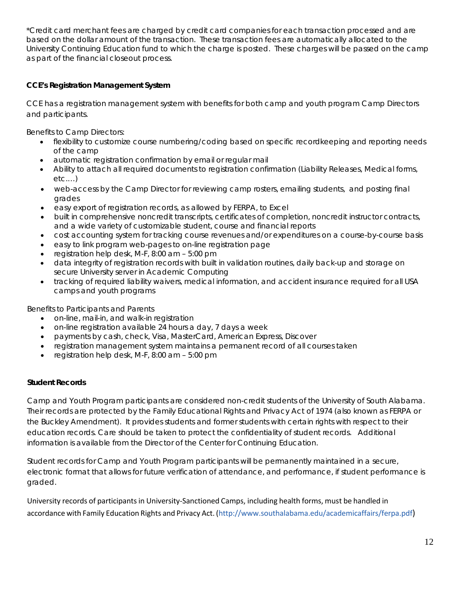*\*Credit card merchant fees are charged by credit card companies for each transaction processed and are based on the dollar amount of the transaction. These transaction fees are automatically allocated to the University Continuing Education fund to which the charge is posted. These charges will be passed on the camp as part of the financial closeout process.*

### **CCE's Registration Management System**

CCE has a registration management system with benefits for both camp and youth program Camp Directors and participants.

Benefits to Camp Directors:

- flexibility to customize course numbering/coding based on specific recordkeeping and reporting needs of the camp
- automatic registration confirmation by email or regular mail
- Ability to attach all required documents to registration confirmation (Liability Releases, Medical forms, etc.…)
- web-access by the Camp Director for reviewing camp rosters, emailing students, and posting final grades
- easy export of registration records, as allowed by FERPA, to Excel
- built in comprehensive noncredit transcripts, certificates of completion, noncredit instructor contracts, and a wide variety of customizable student, course and financial reports
- cost accounting system for tracking course revenues and/or expenditures on a course-by-course basis
- easy to link program web-pages to on-line registration page
- registration help desk, M-F, 8:00 am 5:00 pm
- data integrity of registration records with built in validation routines, daily back-up and storage on secure University server in Academic Computing
- tracking of required liability waivers, medical information, and accident insurance required for all USA camps and youth programs

Benefits to Participants and Parents

- on-line, mail-in, and walk-in registration
- on-line registration available 24 hours a day, 7 days a week
- payments by cash, check, Visa, MasterCard, American Express, Discover
- registration management system maintains a permanent record of all courses taken
- registration help desk, M-F, 8:00 am 5:00 pm

### **Student Records**

Camp and Youth Program participants are considered non-credit students of the University of South Alabama. Their records are protected by the Family Educational Rights and Privacy Act of 1974 (also known as FERPA or the Buckley Amendment). It provides students and former students with certain rights with respect to their education records. Care should be taken to protect the confidentiality of student records. Additional information is available from the Director of the Center for Continuing Education.

Student records for Camp and Youth Program participants will be permanently maintained in a secure, electronic format that allows for future verification of attendance, and performance, if student performance is graded.

University records of participants in University‐Sanctioned Camps, including health forms, must be handled in accordance with Family Education Rights and Privacy Act. [\(http://www.southalabama.edu/academicaffairs/ferpa.pdf\)](http://www.southalabama.edu/academicaffairs/ferpa.pdf))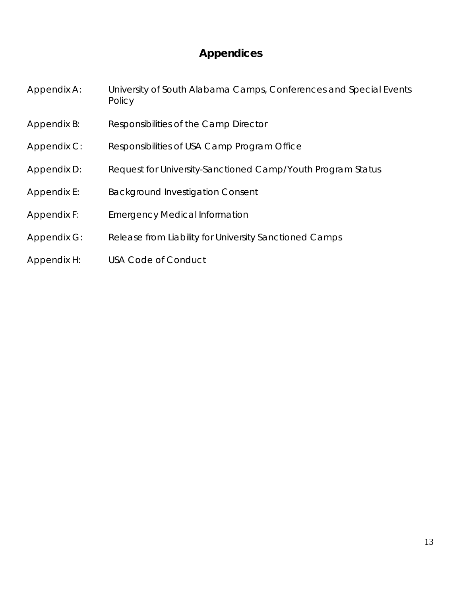# **Appendices**

Appendix A: University of South Alabama Camps, Conferences and Special Events **Policy** 

- Appendix B: Responsibilities of the Camp Director
- Appendix C: Responsibilities of USA Camp Program Office
- Appendix D: Request for University-Sanctioned Camp/Youth Program Status
- Appendix E: Background Investigation Consent
- Appendix F: Emergency Medical Information
- Appendix G: Release from Liability for University Sanctioned Camps
- Appendix H: USA Code of Conduct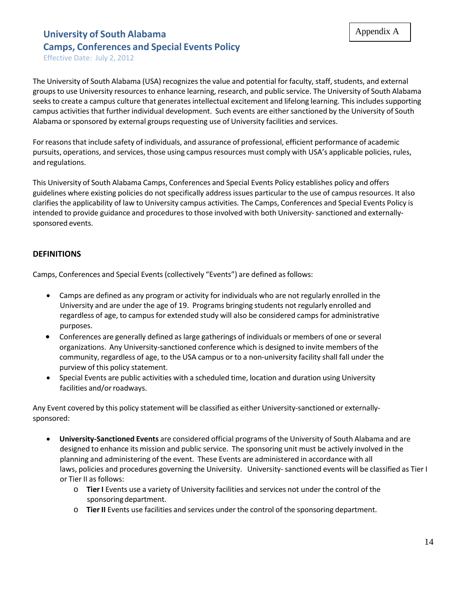Effective Date: July 2, 2012

The University of South Alabama (USA) recognizes the value and potential for faculty, staff, students, and external groups to use University resources to enhance learning, research, and public service. The University of South Alabama seeks to create a campus culture that generates intellectual excitement and lifelong learning. This includes supporting campus activities that further individual development. Such events are either sanctioned by the University of South Alabama or sponsored by external groups requesting use of University facilities and services.

For reasonsthat include safety of individuals, and assurance of professional, efficient performance of academic pursuits, operations, and services, those using campus resources must comply with USA's applicable policies, rules, and regulations.

This University of South Alabama Camps, Conferences and Special Events Policy establishes policy and offers guidelines where existing policies do notspecifically address issues particular to the use of campus resources. It also clarifiesthe applicability of law to University campus activities. The Camps, Conferences and Special Events Policy is intended to provide guidance and procedures to those involved with both University-sanctioned and externallysponsored events.

# **DEFINITIONS**

Camps, Conferences and Special Events (collectively "Events") are defined as follows:

- Camps are defined as any program or activity for individuals who are not regularly enrolled in the University and are under the age of 19. Programs bringing students not regularly enrolled and regardless of age, to campus for extended study will also be considered camps for administrative purposes.
- Conferences are generally defined as large gatherings of individuals or members of one or several organizations. Any University‐sanctioned conference which is designed to invite members of the community, regardless of age, to the USA campus or to a non-university facility shall fall under the purview of this policy statement.
- Special Events are public activities with a scheduled time, location and duration using University facilities and/or roadways.

Any Event covered by this policy statement will be classified as either University-sanctioned or externallysponsored:

- **University‐Sanctioned Events** are considered official programs of the University of South Alabama and are designed to enhance its mission and public service. The sponsoring unit must be actively involved in the planning and administering of the event. These Events are administered in accordance with all laws, policies and procedures governing the University. University-sanctioned events will be classified as Tier I or Tier II as follows:
	- o **Tier I** Events use a variety of University facilities and services not under the control of the sponsoringdepartment.
	- o **Tier II** Events use facilities and services under the control of the sponsoring department.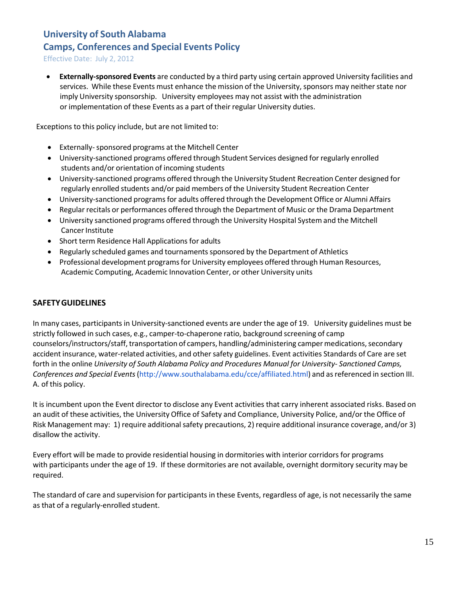Effective Date: July 2, 2012

• **Externally‐sponsored Events** are conducted by a third party using certain approved University facilities and services. While these Events must enhance the mission of the University, sponsors may neither state nor imply University sponsorship. University employees may not assist with the administration or implementation of these Events as a part of their regular University duties.

Exceptions to this policy include, but are not limited to:

- Externally‐sponsored programs at the Mitchell Center
- University‐sanctioned programs offered through Student Services designed for regularly enrolled students and/or orientation of incoming students
- University‐sanctioned programs offered through the University Student Recreation Center designed for regularly enrolled students and/or paid members of the University Student Recreation Center
- University-sanctioned programs for adults offered through the Development Office or Alumni Affairs
- Regular recitals or performances offered through the Department of Music or the Drama Department
- University sanctioned programs offered through the University Hospital System and the Mitchell Cancer Institute
- Short term Residence Hall Applications for adults
- Regularly scheduled games and tournamentssponsored by the Department of Athletics
- Professional development programs for University employees offered through Human Resources, Academic Computing, Academic Innovation Center, or other University units

### **SAFETYGUIDELINES**

In many cases, participants in University‐sanctioned events are under the age of 19. University guidelines must be strictly followed in such cases, e.g., camper‐to‐chaperone ratio, background screening of camp counselors/instructors/staff, transportation of campers, handling/administering camper medications, secondary accident insurance, water-related activities, and other safety guidelines. Event activities Standards of Care are set forth in the online *University of South Alabama Policy and Procedures Manual for University‐ Sanctioned Camps, Conferences and Special Events*[\(http://www.southalabama.edu/cce/affiliated.html\)](http://www.southalabama.edu/cce/affiliated.html)) and asreferenced in section III. A. of this policy.

It is incumbent upon the Event director to disclose any Event activities that carry inherent associated risks. Based on an audit of these activities, the University Office of Safety and Compliance, University Police, and/or the Office of Risk Management may: 1) require additional safety precautions, 2) require additional insurance coverage, and/or 3) disallow the activity.

Every effort will be made to provide residential housing in dormitories with interior corridors for programs with participants under the age of 19. If these dormitories are not available, overnight dormitory security may be required.

The standard of care and supervision for participants in these Events, regardless of age, is not necessarily the same as that of a regularly‐enrolled student.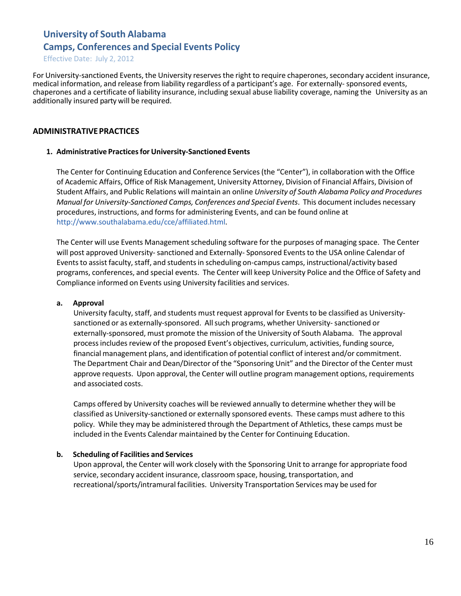Effective Date: July 2, 2012

For University-sanctioned Events, the University reserves the right to require chaperones, secondary accident insurance, medical information, and release from liability regardless of a participant's age. For externally‐ sponsored events, chaperones and a certificate of liability insurance, including sexual abuse liability coverage, naming the University as an additionally insured party will be required.

### **ADMINISTRATIVEPRACTICES**

### **1. Administrative Practicesfor University‐Sanctioned Events**

The Center for Continuing Education and Conference Services (the "Center"), in collaboration with the Office of Academic Affairs, Office of Risk Management, University Attorney, Division of Financial Affairs, Division of Student Affairs, and Public Relations will maintain an online *University of South Alabama Policy and Procedures Manual for University‐Sanctioned Camps, Conferences and Special Events*. This document includes necessary procedures, instructions, and forms for administering Events, and can be found online at [http://www.southalabama.edu/cce/affiliated.html.](http://www.southalabama.edu/cce/affiliated.html)

The Center will use Events Management scheduling software for the purposes of managing space. The Center will post approved University-sanctioned and Externally-Sponsored Events to the USA online Calendar of Events to assist faculty, staff, and students in scheduling on-campus camps, instructional/activity based programs, conferences, and special events. The Center will keep University Police and the Office of Safety and Compliance informed on Events using University facilities and services.

#### **a. Approval**

University faculty, staff, and students must request approval for Events to be classified as Universitysanctioned or as externally-sponsored. All such programs, whether University-sanctioned or externally‐sponsored, must promote the mission of the University of South Alabama. The approval process includes review of the proposed Event's objectives, curriculum, activities, funding source, financial management plans, and identification of potential conflict of interest and/or commitment. The Department Chair and Dean/Director of the "Sponsoring Unit" and the Director of the Center must approve requests. Upon approval, the Center will outline program management options, requirements and associated costs.

Camps offered by University coaches will be reviewed annually to determine whether they will be classified as University‐sanctioned or externally sponsored events. These camps must adhere to this policy. While they may be administered through the Department of Athletics, these camps must be included in the Events Calendar maintained by the Center for Continuing Education.

### **b. Scheduling of Facilities and Services**

Upon approval, the Center will work closely with the Sponsoring Unit to arrange for appropriate food service, secondary accident insurance, classroom space, housing, transportation, and recreational/sports/intramural facilities. University Transportation Services may be used for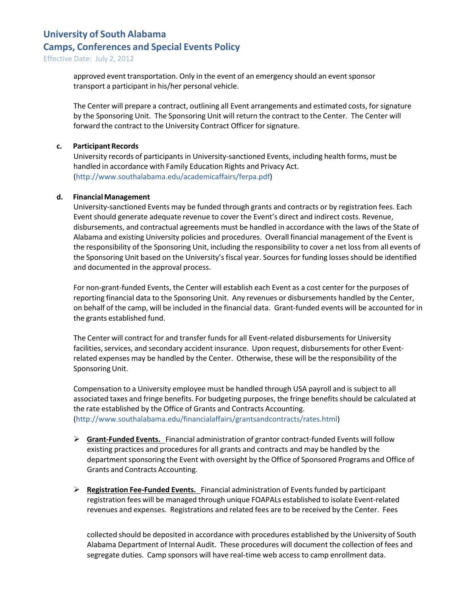Effective Date: July 2, 2012

approved event transportation. Only in the event of an emergency should an event sponsor transport a participant in his/her personal vehicle.

The Center will prepare a contract, outlining all Event arrangements and estimated costs, forsignature by the Sponsoring Unit. The Sponsoring Unit will return the contract to the Center. The Center will forward the contract to the University Contract Officer for signature.

### **c.** Participant Records

University records of participantsin University‐sanctioned Events, including health forms, must be handled in accordance with Family Education Rights and Privacy Act. [\(http://www.southalabama.edu/academicaffairs/ferpa.pdf\)](http://www.southalabama.edu/academicaffairs/ferpa.pdf))

### **d. FinancialManagement**

University‐sanctioned Events may be funded through grants and contracts or by registration fees. Each Event should generate adequate revenue to cover the Event's direct and indirect costs. Revenue, disbursements, and contractual agreements must be handled in accordance with the laws of the State of Alabama and existing University policies and procedures. Overall financial management of the Event is the responsibility of the Sponsoring Unit, including the responsibility to cover a net loss from all events of the Sponsoring Unit based on the University's fiscal year. Sources for funding losses should be identified and documented in the approval process.

For non‐grant‐funded Events, the Center will establish each Event as a cost center for the purposes of reporting financial data to the Sponsoring Unit. Any revenues or disbursements handled by the Center, on behalf of the camp, will be included in the financial data. Grant‐funded events will be accounted for in the grants established fund.

The Center will contract for and transfer funds for all Event-related disbursements for University facilities, services, and secondary accident insurance. Upon request, disbursements for other Eventrelated expenses may be handled by the Center. Otherwise, these will be the responsibility of the Sponsoring Unit.

Compensation to a University employee must be handled through USA payroll and is subject to all associated taxes and fringe benefits. For budgeting purposes, the fringe benefitsshould be calculated at the rate established by the Office of Grants and Contracts Accounting. [\(http://www.southalabama.edu/financialaffairs/grantsandcontracts/rates.html\)](http://www.southalabama.edu/financialaffairs/grantsandcontracts/rates.html))

- **Grant‐Funded Events.** Financial administration of grantor contract‐funded Events will follow existing practices and procedures for all grants and contracts and may be handled by the department sponsoring the Event with oversight by the Office of Sponsored Programs and Office of Grants and Contracts Accounting.
- **Registration Fee‐Funded Events.** Financial administration of Eventsfunded by participant registration fees will be managed through unique FOAPALs established to isolate Event‐related revenues and expenses. Registrations and related fees are to be received by the Center. Fees

collected should be deposited in accordance with procedures established by the University of South Alabama Department of Internal Audit. These procedures will document the collection of fees and segregate duties. Camp sponsors will have real-time web access to camp enrollment data.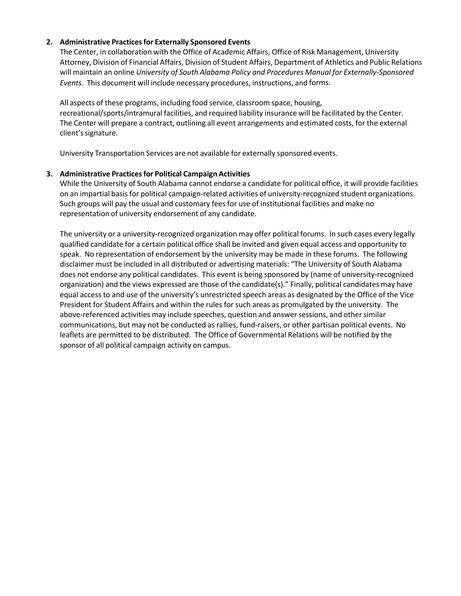### **2. Administrative Practicesfor Externally Sponsored Events**

The Center, in collaboration with the Office of Academic Affairs, Office of Risk Management, University Attorney, Division of Financial Affairs, Division of Student Affairs, Department of Athletics and Public Relations will maintain an online *University of South Alabama Policy and Procedures Manual for Externally‐Sponsored Events*. This document will include necessary procedures, instructions, and forms.

All aspects of these programs, including food service, classroom space, housing, recreational/sports/intramural facilities, and required liability insurance will be facilitated by the Center. The Center will prepare a contract, outlining all event arrangements and estimated costs, for the external client'ssignature.

University Transportation Services are not available for externally sponsored events.

### **3. Administrative Practicesfor Political Campaign Activities**

While the University of South Alabama cannot endorse a candidate for political office, it will provide facilities on an impartial basis for political campaign-related activities of university-recognized student organizations. Such groups will pay the usual and customary feesfor use of institutional facilities and make no representation of university endorsement of any candidate.

The university or a university‐recognized organization may offer political forums. In such cases every legally qualified candidate for a certain political office shall be invited and given equal access and opportunity to speak. No representation of endorsement by the university may be made in these forums. The following disclaimer must be included in all distributed or advertising materials: "The University of South Alabama does not endorse any political candidates. This event is being sponsored by (name of university‐recognized organization) and the views expressed are those of the candidate(s)." Finally, political candidates may have equal access to and use of the university's unrestricted speech areas as designated by the Office of the Vice President for Student Affairs and within the rules for such areas as promulgated by the university. The above-referenced activities may include speeches, question and answer sessions, and other similar communications, but may not be conducted as rallies, fund-raisers, or other partisan political events. No leaflets are permitted to be distributed. The Office of Governmental Relations will be notified by the sponsor of all political campaign activity on campus.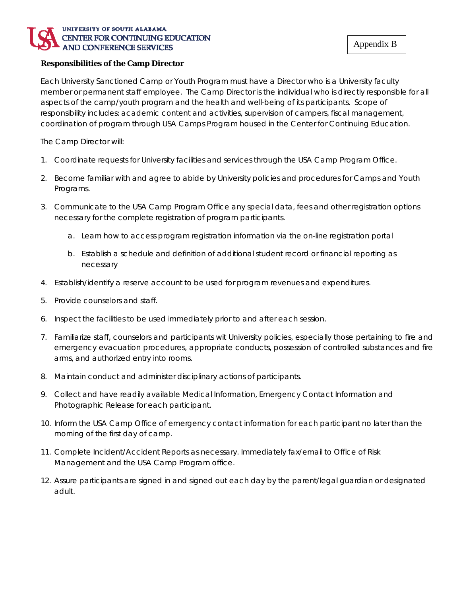### UNIVERSITY OF SOUTH ALABAMA CENTER FOR CONTINUING EDUCATION **AND CONFERENCE SERVICES**

### **Responsibilities of the Camp Director**

Each University Sanctioned Camp or Youth Program must have a Director who is a University faculty member or permanent staff employee. The Camp Director is the individual who is directly responsible for all aspects of the camp/youth program and the health and well-being of its participants. Scope of responsibility includes: academic content and activities, supervision of campers, fiscal management, coordination of program through USA Camps Program housed in the Center for Continuing Education.

The Camp Director will:

- 1. Coordinate requests for University facilities and services through the USA Camp Program Office.
- 2. Become familiar with and agree to abide by University policies and procedures for Camps and Youth Programs.
- 3. Communicate to the USA Camp Program Office any special data, fees and other registration options necessary for the complete registration of program participants.
	- a. Learn how to access program registration information via the on-line registration portal
	- b. Establish a schedule and definition of additional student record or financial reporting as necessary
- 4. Establish/identify a reserve account to be used for program revenues and expenditures.
- 5. Provide counselors and staff.
- 6. Inspect the facilities to be used immediately prior to and after each session.
- 7. Familiarize staff, counselors and participants wit University policies, especially those pertaining to fire and emergency evacuation procedures, appropriate conducts, possession of controlled substances and fire arms, and authorized entry into rooms.
- 8. Maintain conduct and administer disciplinary actions of participants.
- 9. Collect and have readily available Medical Information, Emergency Contact Information and Photographic Release for each participant.
- 10. Inform the USA Camp Office of emergency contact information for each participant no later than the morning of the first day of camp.
- 11. Complete Incident/Accident Reports as necessary. Immediately fax/email to Office of Risk Management and the USA Camp Program office.
- 12. Assure participants are signed in and signed out each day by the parent/legal guardian or designated adult.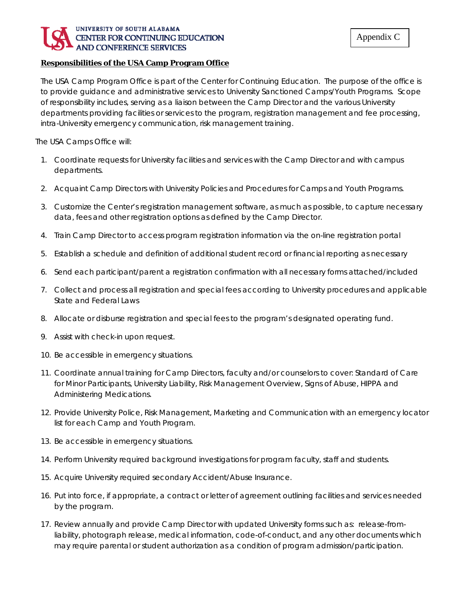### UNIVERSITY OF SOUTH ALABAMA CENTER FOR CONTINUING EDUCATION **AND CONFERENCE SERVICES**

### **Responsibilities of the USA Camp Program Office**

The USA Camp Program Office is part of the Center for Continuing Education. The purpose of the office is to provide guidance and administrative services to University Sanctioned Camps/Youth Programs. Scope of responsibility includes, serving as a liaison between the Camp Director and the various University departments providing facilities or services to the program, registration management and fee processing, intra-University emergency communication, risk management training.

The USA Camps Office will:

- 1. Coordinate requests for University facilities and services with the Camp Director and with campus departments.
- 2. Acquaint Camp Directors with University Policies and Procedures for Camps and Youth Programs.
- 3. Customize the Center's registration management software, as much as possible, to capture necessary data, fees and other registration options as defined by the Camp Director.
- 4. Train Camp Director to access program registration information via the on-line registration portal
- 5. Establish a schedule and definition of additional student record or financial reporting as necessary
- 6. Send each participant/parent a registration confirmation with all necessary forms attached/included
- 7. Collect and process all registration and special fees according to University procedures and applicable State and Federal Laws
- 8. Allocate or disburse registration and special fees to the program's designated operating fund.
- 9. Assist with check-in upon request.
- 10. Be accessible in emergency situations.
- 11. Coordinate annual training for Camp Directors, faculty and/or counselors to cover: Standard of Care for Minor Participants, University Liability, Risk Management Overview, Signs of Abuse, HIPPA and Administering Medications.
- 12. Provide University Police, Risk Management, Marketing and Communication with an emergency locator list for each Camp and Youth Program.
- 13. Be accessible in emergency situations.
- 14. Perform University required background investigations for program faculty, staff and students.
- 15. Acquire University required secondary Accident/Abuse Insurance.
- 16. Put into force, if appropriate, a contract or letter of agreement outlining facilities and services needed by the program.
- 17. Review annually and provide Camp Director with updated University forms such as: release-fromliability, photograph release, medical information, code-of-conduct, and any other documents which may require parental or student authorization as a condition of program admission/participation.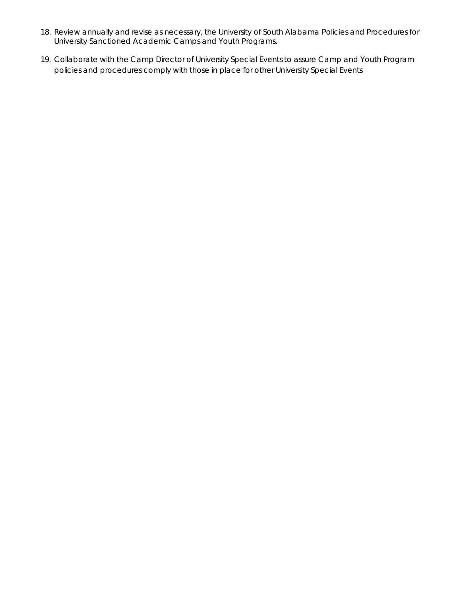- *18.* Review annually and revise as necessary, the *University of South Alabama Policies and Procedures for University Sanctioned Academic Camps and Youth Programs.*
- 19. Collaborate with the Camp Director of University Special Events to assure Camp and Youth Program policies and procedures comply with those in place for other University Special Events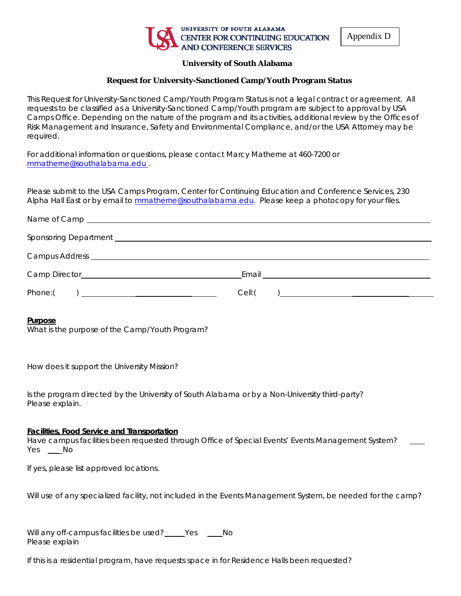

Appendix D

### **University of South Alabama**

### **Request for University-Sanctioned Camp/Youth Program Status**

This Request for University-Sanctioned Camp/Youth Program Status is not a legal contract or agreement. All requests to be classified as a University-Sanctioned Camp/Youth program are subject to approval by USA Camps Office. Depending on the nature of the program and its activities, additional review by the Offices of Risk Management and Insurance, Safety and Environmental Compliance, and/or the USA Attorney may be required.

For additional information or questions, please contact Marcy Matherne at 460-7200 or [mmatherne@southalabama.edu](mailto:mmatherne@southalabama.edu) .

Please submit to the USA Camps Program, Center for Continuing Education and Conference Services, 230 Alpha Hall East or by email to [mmatherne@southalabama.edu.](mailto:mmatherne@southalabama.edu) Please keep a photocopy for your files.

|                                     | Sponsoring Department <b>Constant Construction Constant Constant Constant Constant Constant Constant Constant Constant Constant Constant Constant Constant Constant Constant Constant Constant Constant Constant Constant Cons</b> |  |
|-------------------------------------|------------------------------------------------------------------------------------------------------------------------------------------------------------------------------------------------------------------------------------|--|
|                                     |                                                                                                                                                                                                                                    |  |
|                                     | Email <u>__________________________________</u>                                                                                                                                                                                    |  |
| Phone:(<br>$\overline{\phantom{a}}$ | Cell:                                                                                                                                                                                                                              |  |

#### **Purpose**

What is the purpose of the Camp/Youth Program?

How does it support the University Mission?

Is the program directed by the University of South Alabama or by a Non-University third-party? Please explain.

#### **Facilities, Food Service and Transportation**

Have campus facilities been requested through Office of Special Events' Events Management System? Yes \_No

If yes, please list approved locations.

Will use of any specialized facility, not included in the Events Management System, be needed for the camp?

Will any off-campus facilities be used?\_\_\_\_Yes \_\_\_\_No Please explain

If this is a residential program, have requests space in for Residence Halls been requested?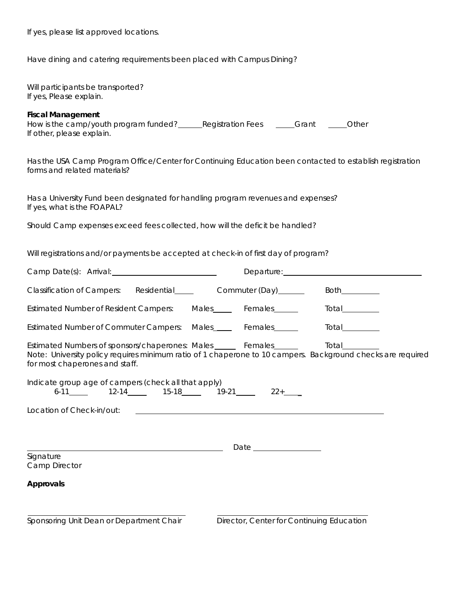If yes, please list approved locations.

Have dining and catering requirements been placed with Campus Dining?

| Will participants be transported?<br>If yes, Please explain.                                                                                                                                                                                            |                                           |                |
|---------------------------------------------------------------------------------------------------------------------------------------------------------------------------------------------------------------------------------------------------------|-------------------------------------------|----------------|
| <b>Fiscal Management</b><br>How is the camp/youth program funded? <b>Examp and Registration Fees Cant Examp and Program funded Registration Fees Examp And Program funded Registration Fees Examp And Program funded</b> 2<br>If other, please explain. |                                           |                |
| Has the USA Camp Program Office/Center for Continuing Education been contacted to establish registration<br>forms and related materials?                                                                                                                |                                           |                |
| Has a University Fund been designated for handling program revenues and expenses?<br>If yes, what is the FOAPAL?                                                                                                                                        |                                           |                |
| Should Camp expenses exceed fees collected, how will the deficit be handled?                                                                                                                                                                            |                                           |                |
| Will registrations and/or payments be accepted at check-in of first day of program?                                                                                                                                                                     |                                           |                |
|                                                                                                                                                                                                                                                         |                                           |                |
|                                                                                                                                                                                                                                                         |                                           | Both__________ |
| Estimated Number of Resident Campers: Males_____ Females_____ Total_______                                                                                                                                                                              |                                           |                |
| Estimated Number of Commuter Campers: Males_____ Females______ Total_______                                                                                                                                                                             |                                           |                |
| Estimated Numbers of sponsors/chaperones: Males ______ Females______ Total______<br>Note: University policy requires minimum ratio of 1 chaperone to 10 campers. Background checks are required<br>for most chaperones and staff.                       |                                           |                |
| Indicate group age of campers (check all that apply)<br>$6-11$ 12-14 15-18 19-21 22+                                                                                                                                                                    |                                           |                |
| Location of Check-in/out:                                                                                                                                                                                                                               |                                           |                |
|                                                                                                                                                                                                                                                         |                                           |                |
|                                                                                                                                                                                                                                                         |                                           |                |
| Signature<br>Camp Director                                                                                                                                                                                                                              |                                           |                |
| Approvals                                                                                                                                                                                                                                               |                                           |                |
| Sponsoring Unit Dean or Department Chair                                                                                                                                                                                                                | Director, Center for Continuing Education |                |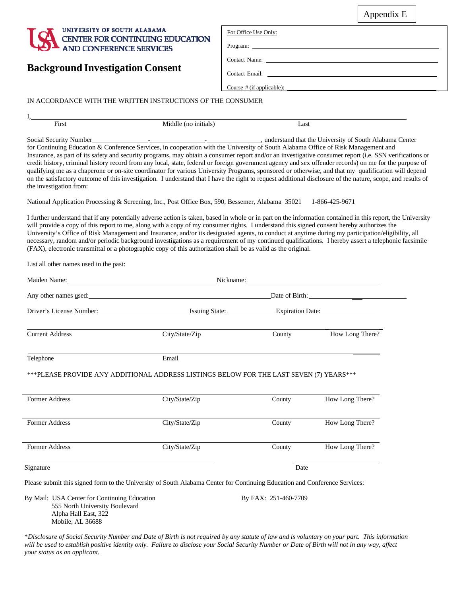### Appendix E



| For Office Use Only: |               |  |  |
|----------------------|---------------|--|--|
|                      |               |  |  |
|                      | Contact Name: |  |  |
| Contact Email:       |               |  |  |

# **Background Investigation Consent**

I,

#### IN ACCORDANCE WITH THE WRITTEN INSTRUCTIONS OF THE CONSUMER

| First                                                                                                                                                                                                                                                                                                                                                                                                                                                                                                                                                                                                                                                                                                                                                                                                                            | Middle (no initials)                                                                                                                                                                                                                                                                                                                                                                                                                                                                                                                                                                                                                                                                                                                   | Last   |                 |  |  |  |  |
|----------------------------------------------------------------------------------------------------------------------------------------------------------------------------------------------------------------------------------------------------------------------------------------------------------------------------------------------------------------------------------------------------------------------------------------------------------------------------------------------------------------------------------------------------------------------------------------------------------------------------------------------------------------------------------------------------------------------------------------------------------------------------------------------------------------------------------|----------------------------------------------------------------------------------------------------------------------------------------------------------------------------------------------------------------------------------------------------------------------------------------------------------------------------------------------------------------------------------------------------------------------------------------------------------------------------------------------------------------------------------------------------------------------------------------------------------------------------------------------------------------------------------------------------------------------------------------|--------|-----------------|--|--|--|--|
| Social Security Number<br>for Continuing Education & Conference Services, in cooperation with the University of South Alabama Office of Risk Management and<br>Insurance, as part of its safety and security programs, may obtain a consumer report and/or an investigative consumer report (i.e. SSN verifications or<br>credit history, criminal history record from any local, state, federal or foreign government agency and sex offender records) on me for the purpose of<br>qualifying me as a chaperone or on-site coordinator for various University Programs, sponsored or otherwise, and that my qualification will depend<br>on the satisfactory outcome of this investigation. I understand that I have the right to request additional disclosure of the nature, scope, and results of<br>the investigation from: |                                                                                                                                                                                                                                                                                                                                                                                                                                                                                                                                                                                                                                                                                                                                        |        |                 |  |  |  |  |
|                                                                                                                                                                                                                                                                                                                                                                                                                                                                                                                                                                                                                                                                                                                                                                                                                                  | National Application Processing & Screening, Inc., Post Office Box, 590, Bessemer, Alabama 35021                                                                                                                                                                                                                                                                                                                                                                                                                                                                                                                                                                                                                                       |        | 1-866-425-9671  |  |  |  |  |
|                                                                                                                                                                                                                                                                                                                                                                                                                                                                                                                                                                                                                                                                                                                                                                                                                                  | I further understand that if any potentially adverse action is taken, based in whole or in part on the information contained in this report, the University<br>will provide a copy of this report to me, along with a copy of my consumer rights. I understand this signed consent hereby authorizes the<br>University's Office of Risk Management and Insurance, and/or its designated agents, to conduct at anytime during my participation/eligibility, all<br>necessary, random and/or periodic background investigations as a requirement of my continued qualifications. I hereby assert a telephonic facsimile<br>(FAX), electronic transmittal or a photographic copy of this authorization shall be as valid as the original. |        |                 |  |  |  |  |
| List all other names used in the past:                                                                                                                                                                                                                                                                                                                                                                                                                                                                                                                                                                                                                                                                                                                                                                                           |                                                                                                                                                                                                                                                                                                                                                                                                                                                                                                                                                                                                                                                                                                                                        |        |                 |  |  |  |  |
|                                                                                                                                                                                                                                                                                                                                                                                                                                                                                                                                                                                                                                                                                                                                                                                                                                  | Maiden Name: Nickname: Nickname: Nickname: Nickname: Nickname: Nickname: Nickname: Nickname: Nickname: Nickname: Nickname: Nickname: Nickname: Nickname: Nickname: Nickname: Nickname: Nickname: Nickname: Nickname: Nickname:                                                                                                                                                                                                                                                                                                                                                                                                                                                                                                         |        |                 |  |  |  |  |
|                                                                                                                                                                                                                                                                                                                                                                                                                                                                                                                                                                                                                                                                                                                                                                                                                                  | Any other names used: Date of Birth: Date of Birth:                                                                                                                                                                                                                                                                                                                                                                                                                                                                                                                                                                                                                                                                                    |        |                 |  |  |  |  |
|                                                                                                                                                                                                                                                                                                                                                                                                                                                                                                                                                                                                                                                                                                                                                                                                                                  |                                                                                                                                                                                                                                                                                                                                                                                                                                                                                                                                                                                                                                                                                                                                        |        |                 |  |  |  |  |
| <b>Current Address</b>                                                                                                                                                                                                                                                                                                                                                                                                                                                                                                                                                                                                                                                                                                                                                                                                           | City/State/Zip                                                                                                                                                                                                                                                                                                                                                                                                                                                                                                                                                                                                                                                                                                                         | County | How Long There? |  |  |  |  |
| Telephone                                                                                                                                                                                                                                                                                                                                                                                                                                                                                                                                                                                                                                                                                                                                                                                                                        | Email                                                                                                                                                                                                                                                                                                                                                                                                                                                                                                                                                                                                                                                                                                                                  |        |                 |  |  |  |  |
|                                                                                                                                                                                                                                                                                                                                                                                                                                                                                                                                                                                                                                                                                                                                                                                                                                  | ***PLEASE PROVIDE ANY ADDITIONAL ADDRESS LISTINGS BELOW FOR THE LAST SEVEN (7) YEARS***                                                                                                                                                                                                                                                                                                                                                                                                                                                                                                                                                                                                                                                |        |                 |  |  |  |  |
| Former Address                                                                                                                                                                                                                                                                                                                                                                                                                                                                                                                                                                                                                                                                                                                                                                                                                   | City/State/Zip                                                                                                                                                                                                                                                                                                                                                                                                                                                                                                                                                                                                                                                                                                                         | County | How Long There? |  |  |  |  |
| Former Address                                                                                                                                                                                                                                                                                                                                                                                                                                                                                                                                                                                                                                                                                                                                                                                                                   | City/State/Zip                                                                                                                                                                                                                                                                                                                                                                                                                                                                                                                                                                                                                                                                                                                         | County | How Long There? |  |  |  |  |
| Former Address                                                                                                                                                                                                                                                                                                                                                                                                                                                                                                                                                                                                                                                                                                                                                                                                                   | City/State/Zip                                                                                                                                                                                                                                                                                                                                                                                                                                                                                                                                                                                                                                                                                                                         | County | How Long There? |  |  |  |  |
| Signature                                                                                                                                                                                                                                                                                                                                                                                                                                                                                                                                                                                                                                                                                                                                                                                                                        |                                                                                                                                                                                                                                                                                                                                                                                                                                                                                                                                                                                                                                                                                                                                        | Date   |                 |  |  |  |  |

Course # (if applicable):

Please submit this signed form to the University of South Alabama Center for Continuing Education and Conference Services:

By Mail: USA Center for Continuing Education By FAX: 251-460-7709 555 North University Boulevard Alpha Hall East, 322 Mobile, AL 36688

\*Disclosure of Social Security Number and Date of Birth is not required by any statute of law and is voluntary on your part. This information will be used to establish positive identity only. Failure to disclose your Social Security Number or Date of Birth will not in any way, affect *your status as an applicant.*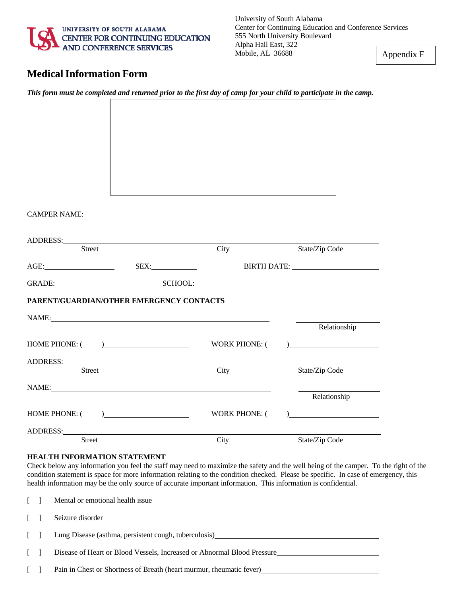

Appendix F

# **MedicalInformation Form**

| ADDRESS: North Contract of the Contract of the Contract of the Contract of the Contract of the Contract of the Contract of the Contract of the Contract of the Contract of the Contract of the Contract of the Contract of the                  | City          |                 |
|-------------------------------------------------------------------------------------------------------------------------------------------------------------------------------------------------------------------------------------------------|---------------|-----------------|
| Street                                                                                                                                                                                                                                          |               | State/Zip Code  |
| AGE: SEX: SEX: BIRTH DATE:                                                                                                                                                                                                                      |               |                 |
| GRAD <u>E: SCHOOL:</u>                                                                                                                                                                                                                          |               |                 |
| PARENT/GUARDIAN/OTHER EMERGENCY CONTACTS                                                                                                                                                                                                        |               |                 |
| NAME: NAME:                                                                                                                                                                                                                                     |               |                 |
|                                                                                                                                                                                                                                                 |               | Relationship    |
| HOME PHONE: $($ )                                                                                                                                                                                                                               |               | WORK PHONE: $($ |
|                                                                                                                                                                                                                                                 |               |                 |
| <b>Street</b>                                                                                                                                                                                                                                   | City          | State/Zip Code  |
| NAME:                                                                                                                                                                                                                                           |               |                 |
|                                                                                                                                                                                                                                                 |               | Relationship    |
| HOME PHONE: $($                                                                                                                                                                                                                                 | WORK PHONE: ( |                 |
|                                                                                                                                                                                                                                                 |               |                 |
| ADDRESS: North and the contract of the contract of the contract of the contract of the contract of the contract of the contract of the contract of the contract of the contract of the contract of the contract of the contrac<br><b>Street</b> | City          | State/Zip Code  |
|                                                                                                                                                                                                                                                 |               |                 |
| <b>HEALTH INFORMATION STATEMENT</b>                                                                                                                                                                                                             |               |                 |

This form must be completed and returned prior to the first day of camp for your child to participate in the camp.

Check below any information you feel the staff may need to maximize the safety and the well being of the camper. To the right of the condition statement is space for more information relating to the condition checked. Please be specific. In case of emergency, this health information may be the only source of accurate important information. This information is confidential.

|              | [ ] Mental or emotional health issue                                    |
|--------------|-------------------------------------------------------------------------|
|              | [ ] Seizure disorder                                                    |
|              | [ ] Lung Disease (asthma, persistent cough, tuberculosis)               |
| $\Box$       | Disease of Heart or Blood Vessels, Increased or Abnormal Blood Pressure |
| $\mathbf{1}$ | Pain in Chest or Shortness of Breath (heart murmur, rheumatic fever)    |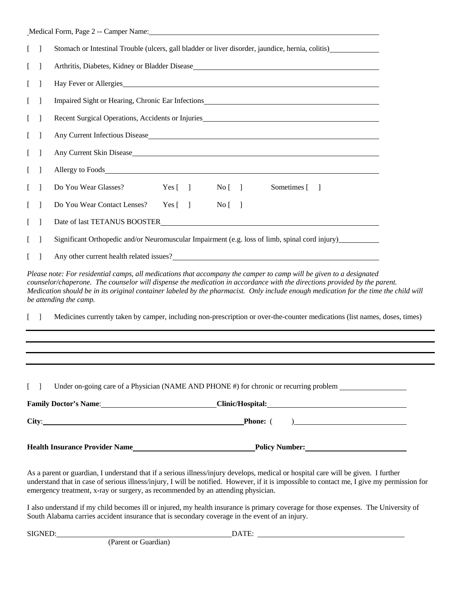|                                       |                | Medical Form, Page 2 -- Camper Name: 1988 and 2008 and 2008 and 2008 and 2008 and 2008 and 2008 and 2008 and 2008 and 2008 and 2008 and 2008 and 2008 and 2008 and 2008 and 2008 and 2008 and 2008 and 2008 and 2008 and 2008 |                           |         |                                 |    |                                                                                                                                                                                                                                                                                                                                                                                          |  |
|---------------------------------------|----------------|-------------------------------------------------------------------------------------------------------------------------------------------------------------------------------------------------------------------------------|---------------------------|---------|---------------------------------|----|------------------------------------------------------------------------------------------------------------------------------------------------------------------------------------------------------------------------------------------------------------------------------------------------------------------------------------------------------------------------------------------|--|
| $\begin{bmatrix} 1 \end{bmatrix}$     |                | Stomach or Intestinal Trouble (ulcers, gall bladder or liver disorder, jaundice, hernia, colitis)                                                                                                                             |                           |         |                                 |    |                                                                                                                                                                                                                                                                                                                                                                                          |  |
| $\mathbf{L}$                          |                |                                                                                                                                                                                                                               |                           |         |                                 |    |                                                                                                                                                                                                                                                                                                                                                                                          |  |
| L                                     |                |                                                                                                                                                                                                                               |                           |         |                                 |    | Hay Fever or Allergies                                                                                                                                                                                                                                                                                                                                                                   |  |
| $\mathsf{L}$                          |                |                                                                                                                                                                                                                               |                           |         |                                 |    | Impaired Sight or Hearing, Chronic Ear Infections________________________________                                                                                                                                                                                                                                                                                                        |  |
| $\mathbf{L}$                          |                |                                                                                                                                                                                                                               |                           |         |                                 |    |                                                                                                                                                                                                                                                                                                                                                                                          |  |
| $\mathbf{L}$                          |                |                                                                                                                                                                                                                               |                           |         |                                 |    |                                                                                                                                                                                                                                                                                                                                                                                          |  |
| $\Box$                                |                |                                                                                                                                                                                                                               |                           |         |                                 |    |                                                                                                                                                                                                                                                                                                                                                                                          |  |
| $\begin{bmatrix} 1 \end{bmatrix}$     |                |                                                                                                                                                                                                                               |                           |         |                                 |    |                                                                                                                                                                                                                                                                                                                                                                                          |  |
| L                                     |                | Do You Wear Glasses?                                                                                                                                                                                                          |                           | Yes [ ] | No [                            |    | Sometimes [<br>$\blacksquare$                                                                                                                                                                                                                                                                                                                                                            |  |
| $\Box$                                | $\blacksquare$ | Do You Wear Contact Lenses?                                                                                                                                                                                                   | Yes $\lceil \quad \rceil$ |         | $\overline{N}$ o $\overline{[}$ | -1 |                                                                                                                                                                                                                                                                                                                                                                                          |  |
| $\Box$                                | $\blacksquare$ |                                                                                                                                                                                                                               |                           |         |                                 |    |                                                                                                                                                                                                                                                                                                                                                                                          |  |
| $\mathbf{L}$                          |                |                                                                                                                                                                                                                               |                           |         |                                 |    | Significant Orthopedic and/or Neuromuscular Impairment (e.g. loss of limb, spinal cord injury)                                                                                                                                                                                                                                                                                           |  |
| $\mathbf{L}$                          |                |                                                                                                                                                                                                                               |                           |         |                                 |    | Any other current health related issues?<br><u>Leading</u> Section 2014 12:00:00 the current health related issues?<br><u>Leading</u> Section 2014 12:00:00 the current health related issues?                                                                                                                                                                                           |  |
|                                       |                | be attending the camp.                                                                                                                                                                                                        |                           |         |                                 |    | Please note: For residential camps, all medications that accompany the camper to camp will be given to a designated<br>counselor/chaperone. The counselor will dispense the medication in accordance with the directions provided by the parent.<br>Medication should be in its original container labeled by the pharmacist. Only include enough medication for the time the child will |  |
| $\mathbb{L}$                          |                |                                                                                                                                                                                                                               |                           |         |                                 |    | Medicines currently taken by camper, including non-prescription or over-the-counter medications (list names, doses, times)                                                                                                                                                                                                                                                               |  |
|                                       |                |                                                                                                                                                                                                                               |                           |         |                                 |    |                                                                                                                                                                                                                                                                                                                                                                                          |  |
|                                       |                |                                                                                                                                                                                                                               |                           |         |                                 |    |                                                                                                                                                                                                                                                                                                                                                                                          |  |
| $\begin{bmatrix} 1 & 1 \end{bmatrix}$ |                |                                                                                                                                                                                                                               |                           |         |                                 |    | Under on-going care of a Physician (NAME AND PHONE #) for chronic or recurring problem                                                                                                                                                                                                                                                                                                   |  |
|                                       |                |                                                                                                                                                                                                                               |                           |         |                                 |    | Family Doctor's Name: Clinic/Hospital: Clinic/Hospital:                                                                                                                                                                                                                                                                                                                                  |  |
|                                       |                |                                                                                                                                                                                                                               |                           |         |                                 |    |                                                                                                                                                                                                                                                                                                                                                                                          |  |
|                                       |                |                                                                                                                                                                                                                               |                           |         |                                 |    |                                                                                                                                                                                                                                                                                                                                                                                          |  |
|                                       |                | emergency treatment, x-ray or surgery, as recommended by an attending physician.                                                                                                                                              |                           |         |                                 |    | As a parent or guardian, I understand that if a serious illness/injury develops, medical or hospital care will be given. I further<br>understand that in case of serious illness/injury, I will be notified. However, if it is impossible to contact me, I give my permission for                                                                                                        |  |

I also understand if my child becomes ill or injured, my health insurance is primary coverage for those expenses. The University of South Alabama carries accident insurance that is secondary coverage in the event of an injury.

SIGNED: DATE:

(Parent or Guardian)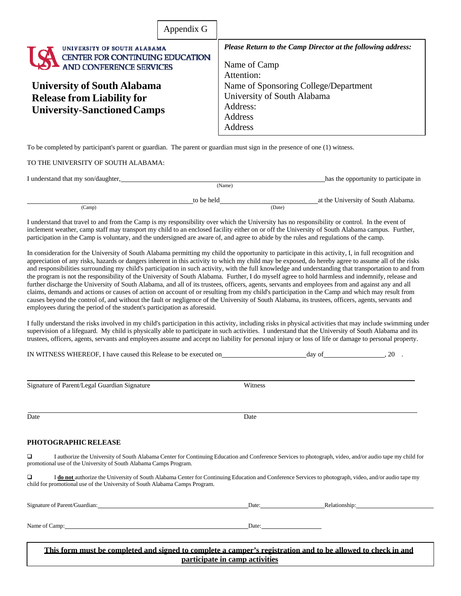|                                                                                                               | Appendix G |                                                                                                               |
|---------------------------------------------------------------------------------------------------------------|------------|---------------------------------------------------------------------------------------------------------------|
| UNIVERSITY OF SOUTH ALABAMA<br>CENTER FOR CONTINUING EDUCATION<br><b>AND CONFERENCE SERVICES</b>              |            | <b>Please Return to the Camp Director at the following address:</b><br>Name of Camp<br>Attention:             |
| <b>University of South Alabama</b><br><b>Release from Liability for</b><br><b>University-Sanctioned Camps</b> |            | Name of Sponsoring College/Department<br>University of South Alabama<br>Address:<br><b>Address</b><br>Address |

To be completed by participant's parent or guardian. The parent or guardian must sign in the presence of one (1) witness.

#### TO THE UNIVERSITY OF SOUTH ALABAMA:

| I understand that my son/daughter, |            | has the opportunity to participate in |
|------------------------------------|------------|---------------------------------------|
|                                    | (Name)     |                                       |
|                                    | to be held | at the University of South Alabama.   |
| (Camp)                             |            | (Date)                                |

I understand that travel to and from the Camp is my responsibility over which the University has no responsibility or control. In the event of inclement weather, camp staff may transport my child to an enclosed facility either on or off the University of South Alabama campus. Further, participation in the Camp is voluntary, and the undersigned are aware of, and agree to abide by the rules and regulations of the camp.

In consideration for the University of South Alabama permitting my child the opportunity to participate in this activity, I, in full recognition and appreciation of any risks, hazards or dangers inherent in this activity to which my child may be exposed, do hereby agree to assume all of the risks and responsibilities surrounding my child's participation in such activity, with the full knowledge and understanding that transportation to and from the program is not the responsibility of the University of South Alabama. Further, I do myself agree to hold harmless and indemnify, release and further discharge the University of South Alabama, and all of its trustees, officers, agents, servants and employees from and against any and all claims, demands and actions or causes of action on account of or resulting from my child's participation in the Camp and which may result from causes beyond the control of, and without the fault or negligence of the University of South Alabama, its trustees, officers, agents, servants and employees during the period of the student's participation as aforesaid.

I fully understand the risks involved in my child's participation in this activity, including risks in physical activities that may include swimming under supervision of a lifeguard. My child is physically able to participate in such activities. I understand that the University of South Alabama and its trustees, officers, agents, servants and employees assume and accept no liability for personal injury or loss of life or damage to personal property.

| IN WITNESS WHEREOF. I have caused this Release to be executed on | dav of | 20 |
|------------------------------------------------------------------|--------|----|
|------------------------------------------------------------------|--------|----|

 $\overline{a}$ 

Signature of Parent/Legal Guardian Signature Witness

Date **Date** 

#### **PHOTOGRAPHICRELEASE**

 I authorize the University of South Alabama Center for Continuing Education and Conference Services to photograph, video, and/or audio tape my child for promotional use of the University of South Alabama Camps Program.

I **do** not authorize the University of South Alabama Center for Continuing Education and Conference Services to photograph, video, and/or audio tape my child for promotional use of the University of South Alabama Camps Program.

| Signature of Parent/Guardian: | Date: | Relationship: |
|-------------------------------|-------|---------------|
|                               |       |               |
|                               |       |               |
| Name of Camp:                 | Date: |               |

**This form must be completed and signed to complete a camper's registration and to be allowed to check in and participate in camp activities**